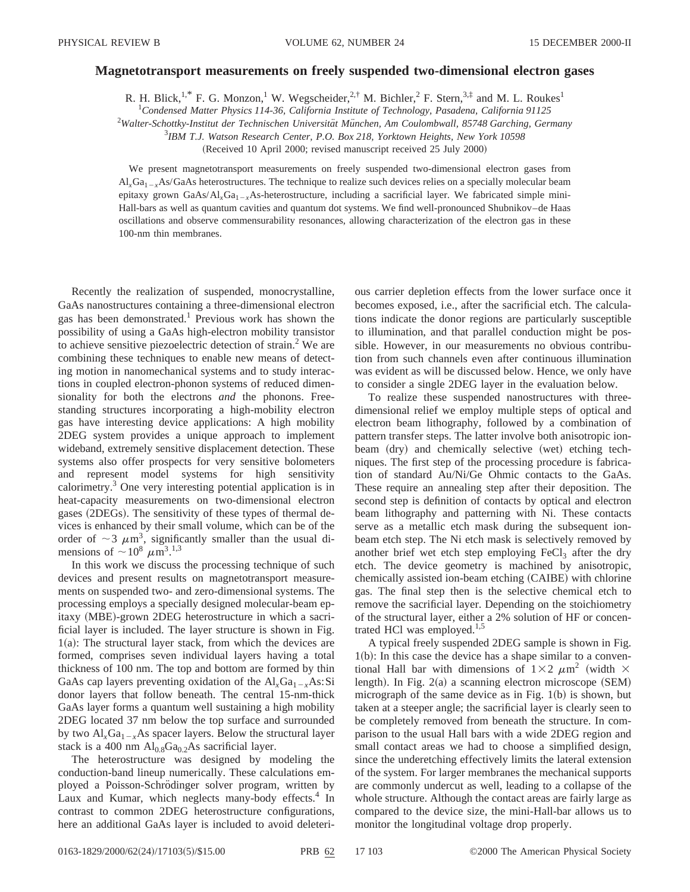## **Magnetotransport measurements on freely suspended two-dimensional electron gases**

R. H. Blick,<sup>1,\*</sup> F. G. Monzon,<sup>1</sup> W. Wegscheider,<sup>2,†</sup> M. Bichler,<sup>2</sup> F. Stern,<sup>3,‡</sup> and M. L. Roukes<sup>1</sup>

1 *Condensed Matter Physics 114-36, California Institute of Technology, Pasadena, California 91125*

<sup>2</sup>Walter-Schottky-Institut der Technischen Universität München, Am Coulombwall, 85748 Garching, Germany

3 *IBM T.J. Watson Research Center, P.O. Box 218, Yorktown Heights, New York 10598*

(Received 10 April 2000; revised manuscript received 25 July 2000)

We present magnetotransport measurements on freely suspended two-dimensional electron gases from Al<sub>x</sub>Ga<sub>1</sub><sub>x</sub>As/GaAs heterostructures. The technique to realize such devices relies on a specially molecular beam epitaxy grown GaAs/ $Al_xGa_{1-x}As$ -heterostructure, including a sacrificial layer. We fabricated simple mini-Hall-bars as well as quantum cavities and quantum dot systems. We find well-pronounced Shubnikov–de Haas oscillations and observe commensurability resonances, allowing characterization of the electron gas in these 100-nm thin membranes.

Recently the realization of suspended, monocrystalline, GaAs nanostructures containing a three-dimensional electron gas has been demonstrated.<sup>1</sup> Previous work has shown the possibility of using a GaAs high-electron mobility transistor to achieve sensitive piezoelectric detection of strain.<sup>2</sup> We are combining these techniques to enable new means of detecting motion in nanomechanical systems and to study interactions in coupled electron-phonon systems of reduced dimensionality for both the electrons *and* the phonons. Freestanding structures incorporating a high-mobility electron gas have interesting device applications: A high mobility 2DEG system provides a unique approach to implement wideband, extremely sensitive displacement detection. These systems also offer prospects for very sensitive bolometers and represent model systems for high sensitivity calorimetry.<sup>3</sup> One very interesting potential application is in heat-capacity measurements on two-dimensional electron gases (2DEGs). The sensitivity of these types of thermal devices is enhanced by their small volume, which can be of the order of  $\sim$ 3  $\mu$ m<sup>3</sup>, significantly smaller than the usual dimensions of  $\sim 10^8 \mu \text{m}^3$ .<sup>1,3</sup>

In this work we discuss the processing technique of such devices and present results on magnetotransport measurements on suspended two- and zero-dimensional systems. The processing employs a specially designed molecular-beam epitaxy (MBE)-grown 2DEG heterostructure in which a sacrificial layer is included. The layer structure is shown in Fig.  $1(a)$ : The structural layer stack, from which the devices are formed, comprises seven individual layers having a total thickness of 100 nm. The top and bottom are formed by thin GaAs cap layers preventing oxidation of the  $Al_xGa_{1-x}As:Si$ donor layers that follow beneath. The central 15-nm-thick GaAs layer forms a quantum well sustaining a high mobility 2DEG located 37 nm below the top surface and surrounded by two  $Al_xGa_{1-x}As$  spacer layers. Below the structural layer stack is a 400 nm  $Al<sub>0.8</sub>Ga<sub>0.2</sub>As$  sacrificial layer.

The heterostructure was designed by modeling the conduction-band lineup numerically. These calculations employed a Poisson-Schrödinger solver program, written by Laux and Kumar, which neglects many-body effects.<sup>4</sup> In contrast to common 2DEG heterostructure configurations, here an additional GaAs layer is included to avoid deleterious carrier depletion effects from the lower surface once it becomes exposed, i.e., after the sacrificial etch. The calculations indicate the donor regions are particularly susceptible to illumination, and that parallel conduction might be possible. However, in our measurements no obvious contribution from such channels even after continuous illumination was evident as will be discussed below. Hence, we only have to consider a single 2DEG layer in the evaluation below.

To realize these suspended nanostructures with threedimensional relief we employ multiple steps of optical and electron beam lithography, followed by a combination of pattern transfer steps. The latter involve both anisotropic ionbeam (dry) and chemically selective (wet) etching techniques. The first step of the processing procedure is fabrication of standard Au/Ni/Ge Ohmic contacts to the GaAs. These require an annealing step after their deposition. The second step is definition of contacts by optical and electron beam lithography and patterning with Ni. These contacts serve as a metallic etch mask during the subsequent ionbeam etch step. The Ni etch mask is selectively removed by another brief wet etch step employing  $FeCl<sub>3</sub>$  after the dry etch. The device geometry is machined by anisotropic, chemically assisted ion-beam etching (CAIBE) with chlorine gas. The final step then is the selective chemical etch to remove the sacrificial layer. Depending on the stoichiometry of the structural layer, either a 2% solution of HF or concentrated HCl was employed.<sup>1,5</sup>

A typical freely suspended 2DEG sample is shown in Fig.  $1(b)$ : In this case the device has a shape similar to a conventional Hall bar with dimensions of  $1\times2 \mu m^2$  (width  $\times$ length). In Fig.  $2(a)$  a scanning electron microscope (SEM) micrograph of the same device as in Fig.  $1(b)$  is shown, but taken at a steeper angle; the sacrificial layer is clearly seen to be completely removed from beneath the structure. In comparison to the usual Hall bars with a wide 2DEG region and small contact areas we had to choose a simplified design, since the underetching effectively limits the lateral extension of the system. For larger membranes the mechanical supports are commonly undercut as well, leading to a collapse of the whole structure. Although the contact areas are fairly large as compared to the device size, the mini-Hall-bar allows us to monitor the longitudinal voltage drop properly.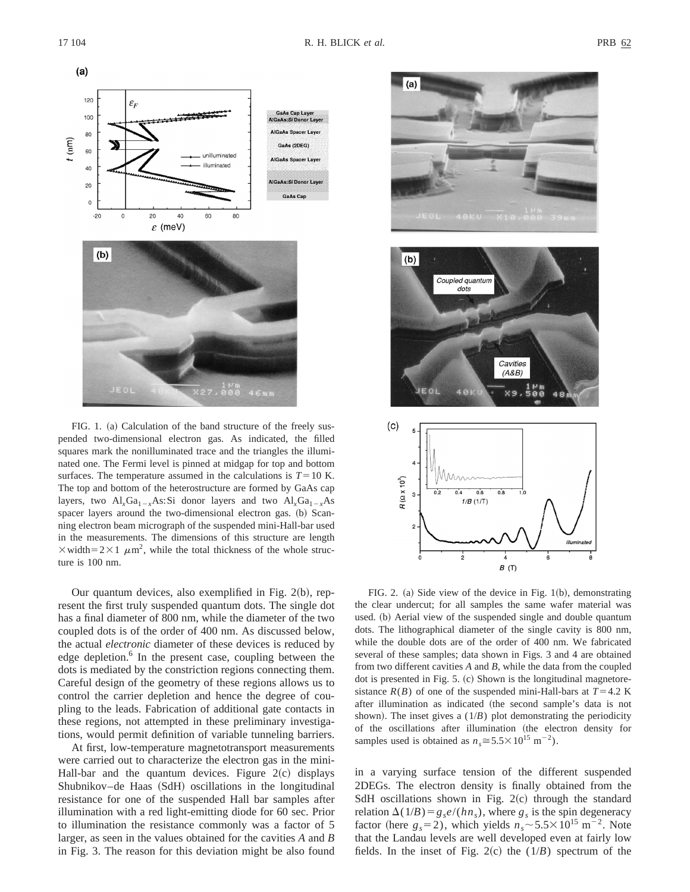

FIG. 1. (a) Calculation of the band structure of the freely suspended two-dimensional electron gas. As indicated, the filled squares mark the nonilluminated trace and the triangles the illuminated one. The Fermi level is pinned at midgap for top and bottom surfaces. The temperature assumed in the calculations is  $T=10$  K. The top and bottom of the heterostructure are formed by GaAs cap layers, two  $AI_xGa_{1-x}As:Si$  donor layers and two  $AI_xGa_{1-x}As$ spacer layers around the two-dimensional electron gas. (b) Scanning electron beam micrograph of the suspended mini-Hall-bar used in the measurements. The dimensions of this structure are length  $\times$  width=2 $\times$ 1  $\mu$ m<sup>2</sup>, while the total thickness of the whole structure is 100 nm.

Our quantum devices, also exemplified in Fig.  $2(b)$ , represent the first truly suspended quantum dots. The single dot has a final diameter of 800 nm, while the diameter of the two coupled dots is of the order of 400 nm. As discussed below, the actual *electronic* diameter of these devices is reduced by edge depletion.<sup>6</sup> In the present case, coupling between the dots is mediated by the constriction regions connecting them. Careful design of the geometry of these regions allows us to control the carrier depletion and hence the degree of coupling to the leads. Fabrication of additional gate contacts in these regions, not attempted in these preliminary investigations, would permit definition of variable tunneling barriers.

At first, low-temperature magnetotransport measurements were carried out to characterize the electron gas in the mini-Hall-bar and the quantum devices. Figure  $2(c)$  displays Shubnikov–de Haas (SdH) oscillations in the longitudinal resistance for one of the suspended Hall bar samples after illumination with a red light-emitting diode for 60 sec. Prior to illumination the resistance commonly was a factor of 5 larger, as seen in the values obtained for the cavities *A* and *B* in Fig. 3. The reason for this deviation might be also found



FIG. 2. (a) Side view of the device in Fig. 1(b), demonstrating the clear undercut; for all samples the same wafer material was used. (b) Aerial view of the suspended single and double quantum dots. The lithographical diameter of the single cavity is 800 nm, while the double dots are of the order of 400 nm. We fabricated several of these samples; data shown in Figs. 3 and 4 are obtained from two different cavities *A* and *B*, while the data from the coupled dot is presented in Fig.  $5.$  (c) Shown is the longitudinal magnetoresistance  $R(B)$  of one of the suspended mini-Hall-bars at  $T=4.2$  K after illumination as indicated (the second sample's data is not shown). The inset gives a  $(1/B)$  plot demonstrating the periodicity of the oscillations after illumination (the electron density for samples used is obtained as  $n_s \approx 5.5 \times 10^{15} \text{ m}^{-2}$ ).

in a varying surface tension of the different suspended 2DEGs. The electron density is finally obtained from the SdH oscillations shown in Fig.  $2(c)$  through the standard relation  $\Delta(1/B) = g_s e/(hn_s)$ , where  $g_s$  is the spin degeneracy factor (here  $g_s = 2$ ), which yields  $n_s \sim 5.5 \times 10^{15}$  m<sup>-2</sup>. Note that the Landau levels are well developed even at fairly low fields. In the inset of Fig.  $2(c)$  the  $(1/B)$  spectrum of the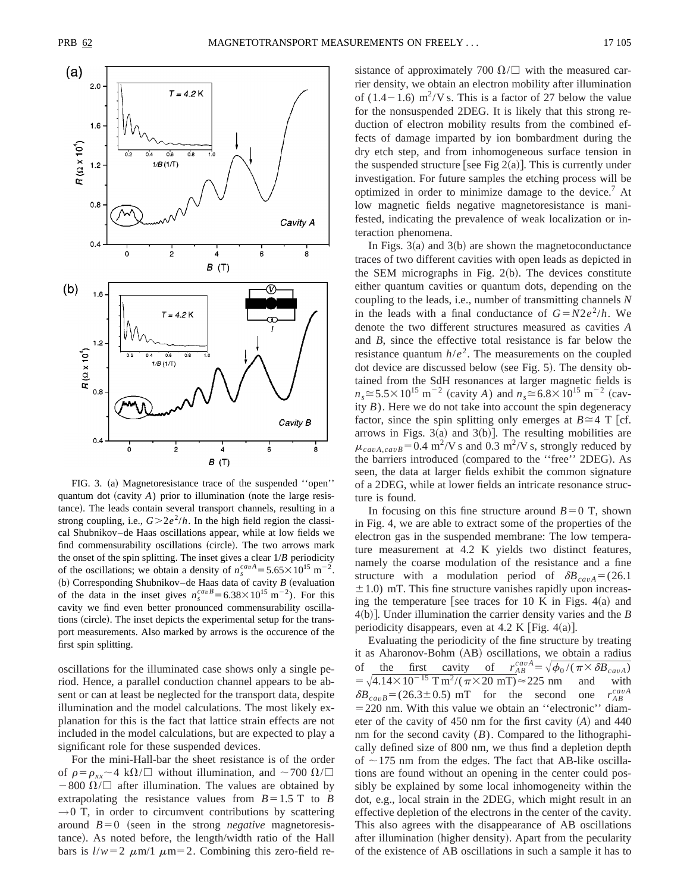

FIG. 3. (a) Magnetoresistance trace of the suspended "open" quantum dot  $(cavity A)$  prior to illumination (note the large resistance). The leads contain several transport channels, resulting in a strong coupling, i.e.,  $G > 2e^2/h$ . In the high field region the classical Shubnikov–de Haas oscillations appear, while at low fields we find commensurability oscillations (circle). The two arrows mark the onset of the spin splitting. The inset gives a clear 1/*B* periodicity of the oscillations; we obtain a density of  $n_s^{cavA} = 5.65 \times 10^{15} \text{ m}^{-2}$ . (b) Corresponding Shubnikov–de Haas data of cavity  $B$  (evaluation of the data in the inset gives  $n_s^{cavB} = 6.38 \times 10^{15} \text{ m}^{-2}$ ). For this cavity we find even better pronounced commensurability oscillations (circle). The inset depicts the experimental setup for the transport measurements. Also marked by arrows is the occurence of the first spin splitting.

oscillations for the illuminated case shows only a single period. Hence, a parallel conduction channel appears to be absent or can at least be neglected for the transport data, despite illumination and the model calculations. The most likely explanation for this is the fact that lattice strain effects are not included in the model calculations, but are expected to play a significant role for these suspended devices.

For the mini-Hall-bar the sheet resistance is of the order of  $\rho = \rho_{xx} \sim 4 \text{ k}\Omega/\square$  without illumination, and  $\sim 700 \Omega/\square$  $-800 \Omega/\Box$  after illumination. The values are obtained by extrapolating the resistance values from  $B=1.5$  T to *B*  $\rightarrow$  0 T, in order to circumvent contributions by scattering around  $B=0$  (seen in the strong *negative* magnetoresistance). As noted before, the length/width ratio of the Hall bars is  $l/w=2 \mu m/1 \mu m=2$ . Combining this zero-field resistance of approximately 700  $\Omega/\square$  with the measured carrier density, we obtain an electron mobility after illumination of (1.4–1.6) m<sup>2</sup>/V s. This is a factor of 27 below the value for the nonsuspended 2DEG. It is likely that this strong reduction of electron mobility results from the combined effects of damage imparted by ion bombardment during the dry etch step, and from inhomogeneous surface tension in the suspended structure [see Fig 2(a)]. This is currently under investigation. For future samples the etching process will be optimized in order to minimize damage to the device.<sup>7</sup> At low magnetic fields negative magnetoresistance is manifested, indicating the prevalence of weak localization or interaction phenomena.

In Figs.  $3(a)$  and  $3(b)$  are shown the magnetoconductance traces of two different cavities with open leads as depicted in the SEM micrographs in Fig.  $2(b)$ . The devices constitute either quantum cavities or quantum dots, depending on the coupling to the leads, i.e., number of transmitting channels *N* in the leads with a final conductance of  $G = N2e^2/h$ . We denote the two different structures measured as cavities *A* and *B*, since the effective total resistance is far below the resistance quantum  $h/e^2$ . The measurements on the coupled dot device are discussed below (see Fig.  $5$ ). The density obtained from the SdH resonances at larger magnetic fields is  $n_s \approx 5.5 \times 10^{15} \text{ m}^{-2}$  (cavity *A*) and  $n_s \approx 6.8 \times 10^{15} \text{ m}^{-2}$  (cavity *B*). Here we do not take into account the spin degeneracy factor, since the spin splitting only emerges at  $B \cong 4$  T [cf. arrows in Figs.  $3(a)$  and  $3(b)$ ]. The resulting mobilities are  $\mu_{cavA, cavB}$ =0.4 m<sup>2</sup>/V s and 0.3 m<sup>2</sup>/V s, strongly reduced by the barriers introduced (compared to the "free" 2DEG). As seen, the data at larger fields exhibit the common signature of a 2DEG, while at lower fields an intricate resonance structure is found.

In focusing on this fine structure around  $B=0$  T, shown in Fig. 4, we are able to extract some of the properties of the electron gas in the suspended membrane: The low temperature measurement at 4.2 K yields two distinct features, namely the coarse modulation of the resistance and a fine structure with a modulation period of  $\delta B_{cavA} = (26.1)$  $\pm$  1.0) mT. This fine structure vanishes rapidly upon increasing the temperature [see traces for 10 K in Figs. 4(a) and 4(b)]. Under illumination the carrier density varies and the *B* periodicity disappears, even at 4.2 K [Fig. 4(a)].

Evaluating the periodicity of the fine structure by treating it as Aharonov-Bohm (AB) oscillations, we obtain a radius of the first cavity of  $r_{AB}^{ca}$  $r_{AB}^{cavA} = \sqrt{\phi_0/(\pi \times \delta B_{cavA})}$  $= \sqrt{4.14 \times 10^{-15} \text{ T m}^2/(\pi \times 20 \text{ mT})} \approx 225 \text{ nm}$  and with  $\delta B_{cav} = (26.3 \pm 0.5) \text{ mT}$  for the second one  $r_{AB}^{cavA}$  $=$  220 nm. With this value we obtain an "electronic" diameter of the cavity of  $450$  nm for the first cavity  $(A)$  and  $440$ nm for the second cavity (*B*). Compared to the lithographically defined size of 800 nm, we thus find a depletion depth of  $\sim$ 175 nm from the edges. The fact that AB-like oscillations are found without an opening in the center could possibly be explained by some local inhomogeneity within the dot, e.g., local strain in the 2DEG, which might result in an effective depletion of the electrons in the center of the cavity. This also agrees with the disappearance of AB oscillations after illumination (higher density). Apart from the pecularity of the existence of AB oscillations in such a sample it has to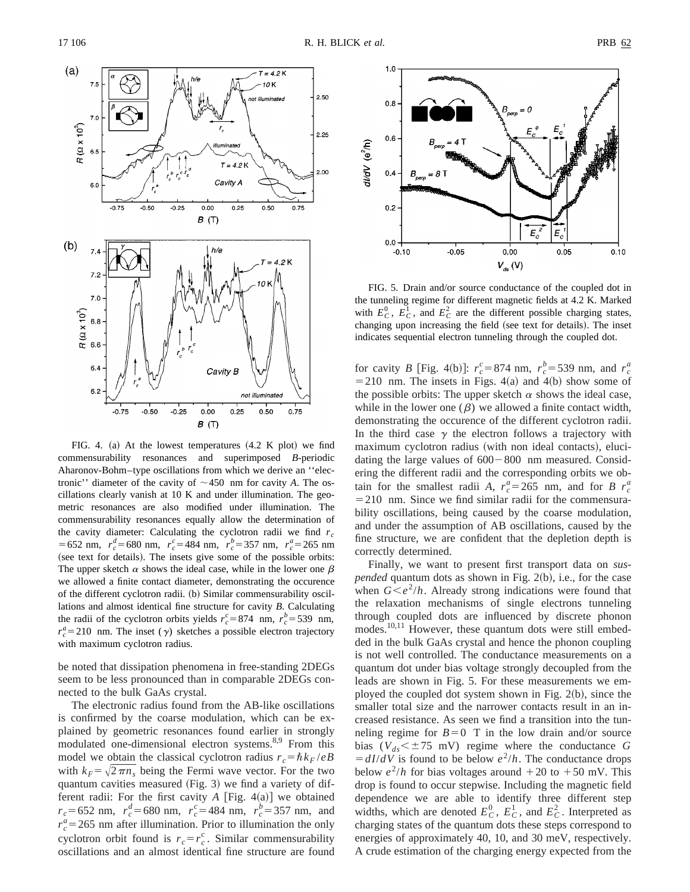

FIG. 4. (a) At the lowest temperatures  $(4.2 K plot)$  we find commensurability resonances and superimposed *B*-periodic Aharonov-Bohm–type oscillations from which we derive an ''electronic'' diameter of the cavity of  $\sim$  450 nm for cavity *A*. The oscillations clearly vanish at 10 K and under illumination. The geometric resonances are also modified under illumination. The commensurability resonances equally allow the determination of the cavity diameter: Calculating the cyclotron radii we find  $r_c$  $= 652$  nm,  $r_c^d = 680$  nm,  $r_c^c = 484$  nm,  $r_c^b = 357$  nm,  $r_c^a = 265$  nm (see text for details). The insets give some of the possible orbits: The upper sketch  $\alpha$  shows the ideal case, while in the lower one  $\beta$ we allowed a finite contact diameter, demonstrating the occurence of the different cyclotron radii. (b) Similar commensurability oscillations and almost identical fine structure for cavity *B*. Calculating the radii of the cyclotron orbits yields  $r_c^c = 874$  nm,  $r_c^b = 539$  nm,  $r_c^a = 210$  nm. The inset ( $\gamma$ ) sketches a possible electron trajectory with maximum cyclotron radius.

be noted that dissipation phenomena in free-standing 2DEGs seem to be less pronounced than in comparable 2DEGs connected to the bulk GaAs crystal.

The electronic radius found from the AB-like oscillations is confirmed by the coarse modulation, which can be explained by geometric resonances found earlier in strongly modulated one-dimensional electron systems.8,9 From this model we obtain the classical cyclotron radius  $r_c = \hbar k_F / eB$ with  $k_F = \sqrt{2\pi n_s}$  being the Fermi wave vector. For the two quantum cavities measured  $(Fig. 3)$  we find a variety of different radii: For the first cavity  $A$  [Fig. 4(a)] we obtained  $r_c = 652$  nm,  $r_c^d = 680$  nm,  $r_c^c = 484$  nm,  $r_c^b = 357$  nm, and  $r_c^a = 265$  nm after illumination. Prior to illumination the only cyclotron orbit found is  $r_c = r_c^c$ . Similar commensurability oscillations and an almost identical fine structure are found



FIG. 5. Drain and/or source conductance of the coupled dot in the tunneling regime for different magnetic fields at 4.2 K. Marked with  $E_C^0$ ,  $E_C^1$ , and  $E_C^2$  are the different possible charging states, changing upon increasing the field (see text for details). The inset indicates sequential electron tunneling through the coupled dot.

for cavity *B* [Fig. 4(b)]:  $r_c^c = 874$  nm,  $r_c^b = 539$  nm, and  $r_c^a$  $=$  210 nm. The insets in Figs. 4(a) and 4(b) show some of the possible orbits: The upper sketch  $\alpha$  shows the ideal case, while in the lower one  $(\beta)$  we allowed a finite contact width, demonstrating the occurence of the different cyclotron radii. In the third case  $\gamma$  the electron follows a trajectory with maximum cyclotron radius (with non ideal contacts), elucidating the large values of  $600-800$  nm measured. Considering the different radii and the corresponding orbits we obtain for the smallest radii *A*,  $r_c^a = 265$  nm, and for *B*  $r_c^a$  $=$  210 nm. Since we find similar radii for the commensurability oscillations, being caused by the coarse modulation, and under the assumption of AB oscillations, caused by the fine structure, we are confident that the depletion depth is correctly determined.

Finally, we want to present first transport data on *suspended* quantum dots as shown in Fig. 2(b), i.e., for the case when  $G \leq e^2/h$ . Already strong indications were found that the relaxation mechanisms of single electrons tunneling through coupled dots are influenced by discrete phonon modes.<sup>10,11</sup> However, these quantum dots were still embedded in the bulk GaAs crystal and hence the phonon coupling is not well controlled. The conductance measurements on a quantum dot under bias voltage strongly decoupled from the leads are shown in Fig. 5. For these measurements we employed the coupled dot system shown in Fig.  $2(b)$ , since the smaller total size and the narrower contacts result in an increased resistance. As seen we find a transition into the tunneling regime for  $B=0$  T in the low drain and/or source bias ( $V_{ds}$ < $\pm$ 75 mV) regime where the conductance *G*  $= dI/dV$  is found to be below  $e^2/h$ . The conductance drops below  $e^2/h$  for bias voltages around  $+20$  to  $+50$  mV. This drop is found to occur stepwise. Including the magnetic field dependence we are able to identify three different step widths, which are denoted  $E_C^0$ ,  $E_C^1$ , and  $E_C^2$ . Interpreted as charging states of the quantum dots these steps correspond to energies of approximately 40, 10, and 30 meV, respectively. A crude estimation of the charging energy expected from the